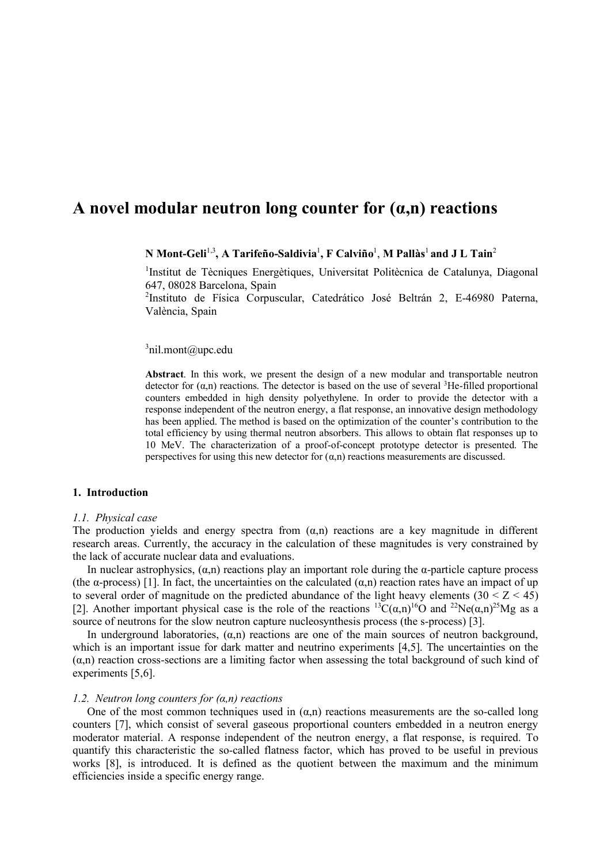# **A novel modular neutron long counter for (α,n) reactions**

# $N$  Mont-Geli $^{1,3}$ , A Tarifeño-Saldivia $^{1}$ , F Calviño $^{1}$ , M Pallàs $^{1}$  and J L Tain $^{2}$

<sup>1</sup>Institut de Tècniques Energètiques, Universitat Politècnica de Catalunya, Diagonal 647, 08028 Barcelona, Spain

2 Instituto de Física Corpuscular, Catedrático José Beltrán 2, E-46980 Paterna, València, Spain

# $3$ nil.mont@upc.edu

**Abstract**. In this work, we present the design of a new modular and transportable neutron detector for  $(\alpha, n)$  reactions. The detector is based on the use of several <sup>3</sup>He-filled proportional counters embedded in high density polyethylene. In order to provide the detector with a response independent of the neutron energy, a flat response, an innovative design methodology has been applied. The method is based on the optimization of the counter's contribution to the total efficiency by using thermal neutron absorbers. This allows to obtain flat responses up to 10 MeV. The characterization of a proof-of-concept prototype detector is presented. The perspectives for using this new detector for  $(\alpha, n)$  reactions measurements are discussed.

#### **1. Introduction**

#### *1.1. Physical case*

The production yields and energy spectra from  $(\alpha, n)$  reactions are a key magnitude in different research areas. Currently, the accuracy in the calculation of these magnitudes is very constrained by the lack of accurate nuclear data and evaluations.

In nuclear astrophysics,  $(\alpha, n)$  reactions play an important role during the  $\alpha$ -particle capture process (the  $\alpha$ -process) [1]. In fact, the uncertainties on the calculated  $(\alpha, n)$  reaction rates have an impact of up to several order of magnitude on the predicted abundance of the light heavy elements  $(30 < Z < 45)$ [2]. Another important physical case is the role of the reactions  ${}^{13}C(\alpha,n){}^{16}O$  and  ${}^{22}Ne(\alpha,n){}^{25}Mg$  as a source of neutrons for the slow neutron capture nucleosynthesis process (the s-process) [3].

In underground laboratories,  $(\alpha, n)$  reactions are one of the main sources of neutron background, which is an important issue for dark matter and neutrino experiments [4,5]. The uncertainties on the  $(\alpha, n)$  reaction cross-sections are a limiting factor when assessing the total background of such kind of experiments [5,6].

#### *1.2. Neutron long counters for (α,n) reactions*

One of the most common techniques used in  $(\alpha, n)$  reactions measurements are the so-called long counters [7], which consist of several gaseous proportional counters embedded in a neutron energy moderator material. A response independent of the neutron energy, a flat response, is required. To quantify this characteristic the so-called flatness factor, which has proved to be useful in previous works [8], is introduced. It is defined as the quotient between the maximum and the minimum efficiencies inside a specific energy range.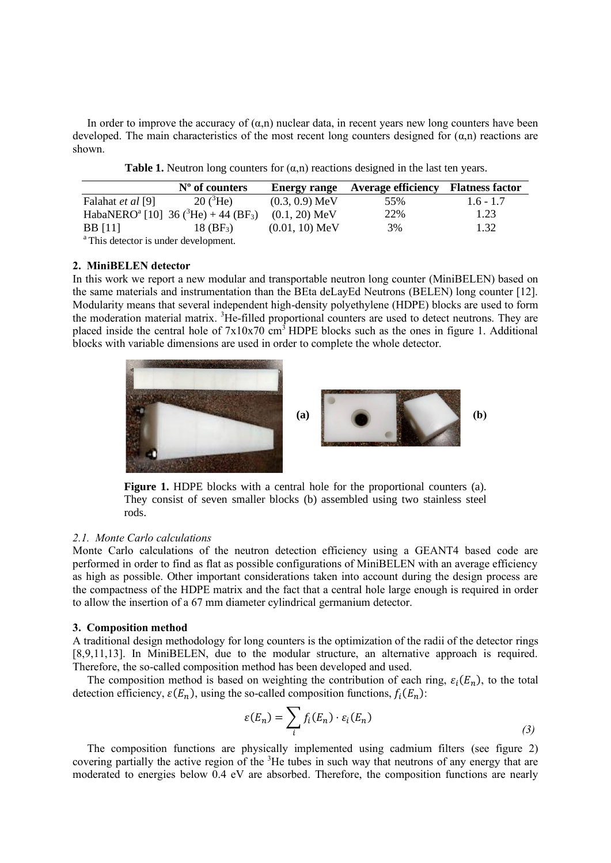In order to improve the accuracy of  $(\alpha, n)$  nuclear data, in recent years new long counters have been developed. The main characteristics of the most recent long counters designed for  $(\alpha, n)$  reactions are shown.

|                                                                              | $No$ of counters                                                         |                  | Energy range Average efficiency Flatness factor |             |
|------------------------------------------------------------------------------|--------------------------------------------------------------------------|------------------|-------------------------------------------------|-------------|
| Falahat et al [9]                                                            | $20(^{3}He)$                                                             | $(0.3, 0.9)$ MeV | 55%                                             | $1.6 - 1.7$ |
|                                                                              | HabaNERO <sup>a</sup> [10] 36 ( <sup>3</sup> He) + 44 (BF <sub>3</sub> ) | $(0.1, 20)$ MeV  | 22%                                             | 1.23        |
| <b>BB</b> [11]                                                               | $18 \, (\text{BF}_3)$                                                    | $(0.01, 10)$ MeV | 3%                                              | 1.32        |
| $2\pi$ and $\pi$ and $\pi$ and $\pi$ and $\pi$ and $\pi$ and $\pi$ and $\pi$ |                                                                          |                  |                                                 |             |

This detector is under development.

## **2. MiniBELEN detector**

In this work we report a new modular and transportable neutron long counter (MiniBELEN) based on the same materials and instrumentation than the BEta deLayEd Neutrons (BELEN) long counter [12]. Modularity means that several independent high-density polyethylene (HDPE) blocks are used to form the moderation material matrix. <sup>3</sup>He-filled proportional counters are used to detect neutrons. They are placed inside the central hole of  $7x10x70$  cm<sup>3</sup> HDPE blocks such as the ones in figure 1. Additional blocks with variable dimensions are used in order to complete the whole detector.



**Figure 1.** HDPE blocks with a central hole for the proportional counters (a). They consist of seven smaller blocks (b) assembled using two stainless steel rods.

## *2.1. Monte Carlo calculations*

Monte Carlo calculations of the neutron detection efficiency using a GEANT4 based code are performed in order to find as flat as possible configurations of MiniBELEN with an average efficiency as high as possible. Other important considerations taken into account during the design process are the compactness of the HDPE matrix and the fact that a central hole large enough is required in order to allow the insertion of a 67 mm diameter cylindrical germanium detector.

#### **3. Composition method**

A traditional design methodology for long counters is the optimization of the radii of the detector rings [8,9,11,13]. In MiniBELEN, due to the modular structure, an alternative approach is required. Therefore, the so-called composition method has been developed and used.

The composition method is based on weighting the contribution of each ring,  $\varepsilon_i(E_n)$ , to the total detection efficiency,  $\varepsilon(E_n)$ , using the so-called composition functions,  $f_i(E_n)$ :

$$
\varepsilon(E_n) = \sum_i f_i(E_n) \cdot \varepsilon_i(E_n) \tag{3}
$$

The composition functions are physically implemented using cadmium filters (see figure 2) covering partially the active region of the  ${}^{3}$ He tubes in such way that neutrons of any energy that are moderated to energies below 0.4 eV are absorbed. Therefore, the composition functions are nearly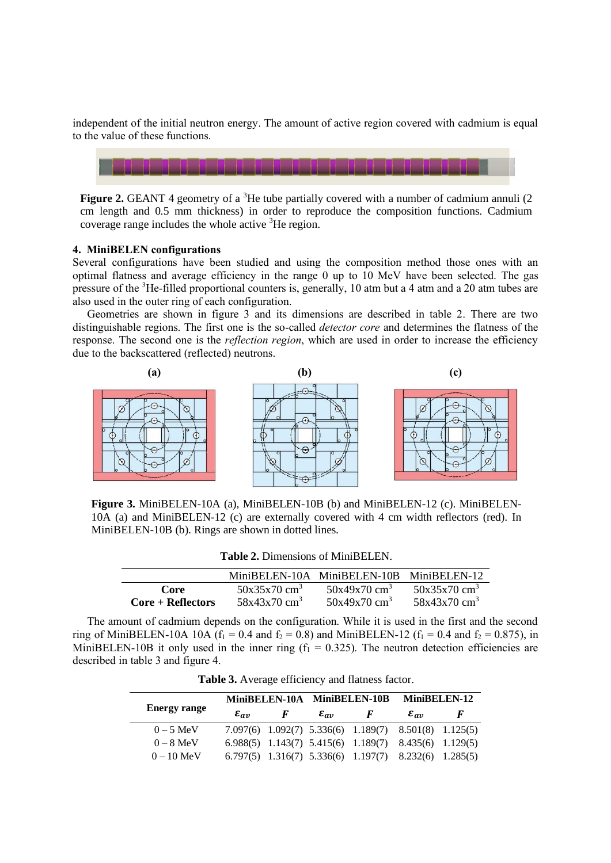independent of the initial neutron energy. The amount of active region covered with cadmium is equal to the value of these functions.



**Figure 2.** GEANT 4 geometry of a <sup>3</sup>He tube partially covered with a number of cadmium annuli (2) cm length and 0.5 mm thickness) in order to reproduce the composition functions. Cadmium coverage range includes the whole active  ${}^{3}$ He region.

## **4. MiniBELEN configurations**

Several configurations have been studied and using the composition method those ones with an optimal flatness and average efficiency in the range 0 up to 10 MeV have been selected. The gas pressure of the <sup>3</sup>He-filled proportional counters is, generally, 10 atm but a 4 atm and a 20 atm tubes are also used in the outer ring of each configuration.

Geometries are shown in figure 3 and its dimensions are described in table 2. There are two distinguishable regions. The first one is the so-called *detector core* and determines the flatness of the response. The second one is the *reflection region*, which are used in order to increase the efficiency due to the backscattered (reflected) neutrons.



**Figure 3.** MiniBELEN-10A (a), MiniBELEN-10B (b) and MiniBELEN-12 (c). MiniBELEN-10A (a) and MiniBELEN-12 (c) are externally covered with 4 cm width reflectors (red). In MiniBELEN-10B (b). Rings are shown in dotted lines.

| <b>Table 2. Dimensions of MiniBELEN.</b> |                            |                                          |                            |  |  |  |
|------------------------------------------|----------------------------|------------------------------------------|----------------------------|--|--|--|
|                                          |                            | MiniBELEN-10A MiniBELEN-10B MiniBELEN-12 |                            |  |  |  |
| Core                                     | $50x35x70$ cm <sup>3</sup> | $50x49x70$ cm <sup>3</sup>               | $50x35x70$ cm <sup>3</sup> |  |  |  |
| $Core + Reflections$                     | $58x43x70$ cm <sup>3</sup> | $50x49x70$ cm <sup>3</sup>               | $58x43x70$ cm <sup>3</sup> |  |  |  |

The amount of cadmium depends on the configuration. While it is used in the first and the second ring of MiniBELEN-10A 10A ( $f_1 = 0.4$  and  $f_2 = 0.8$ ) and MiniBELEN-12 ( $f_1 = 0.4$  and  $f_2 = 0.875$ ), in MiniBELEN-10B it only used in the inner ring  $(f_1 = 0.325)$ . The neutron detection efficiencies are described in table 3 and figure 4.

**Table 3.** Average efficiency and flatness factor.

|                     |                    |   | MiniBELEN-10A MiniBELEN-10B |                                                                   | MiniBELEN-12               |   |
|---------------------|--------------------|---|-----------------------------|-------------------------------------------------------------------|----------------------------|---|
| <b>Energy range</b> | $\varepsilon_{av}$ | F | $\varepsilon_{av}$          | F                                                                 | $\varepsilon_{\alpha\eta}$ | F |
| $0-5$ MeV           |                    |   |                             | 7.097(6) 1.092(7) 5.336(6) 1.189(7) 8.501(8) 1.125(5)             |                            |   |
| $0 - 8$ MeV         |                    |   |                             | 6.988(5) 1.143(7) 5.415(6) 1.189(7) 8.435(6) 1.129(5)             |                            |   |
| $0 - 10$ MeV        |                    |   |                             | $6.797(5)$ $1.316(7)$ $5.336(6)$ $1.197(7)$ $8.232(6)$ $1.285(5)$ |                            |   |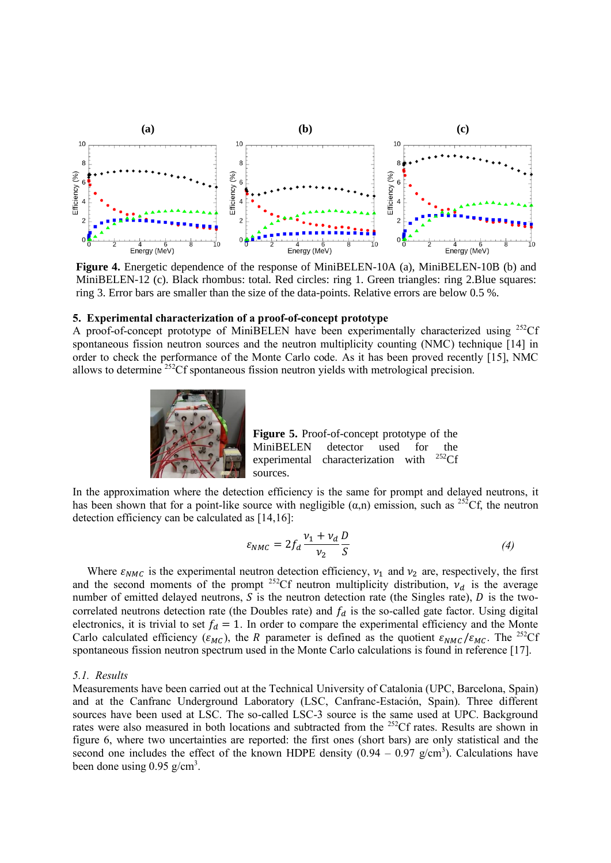

**Figure 4.** Energetic dependence of the response of MiniBELEN-10A (a), MiniBELEN-10B (b) and MiniBELEN-12 (c). Black rhombus: total. Red circles: ring 1. Green triangles: ring 2.Blue squares: ring 3. Error bars are smaller than the size of the data-points. Relative errors are below 0.5 %.

#### **5. Experimental characterization of a proof-of-concept prototype**

A proof-of-concept prototype of MiniBELEN have been experimentally characterized using  $^{252}$ Cf spontaneous fission neutron sources and the neutron multiplicity counting (NMC) technique [14] in order to check the performance of the Monte Carlo code. As it has been proved recently [15], NMC allows to determine <sup>252</sup>Cf spontaneous fission neutron yields with metrological precision.



**Figure 5.** Proof-of-concept prototype of the MiniBELEN detector used for the experimental characterization with <sup>252</sup>Cf sources.

In the approximation where the detection efficiency is the same for prompt and delayed neutrons, it has been shown that for a point-like source with negligible  $(\alpha,n)$  emission, such as <sup>252</sup>Cf, the neutron detection efficiency can be calculated as [14,16]:

$$
\varepsilon_{NMC} = 2f_d \frac{v_1 + v_d}{v_2} \frac{D}{S}
$$
 (4)

Where  $\varepsilon_{NMC}$  is the experimental neutron detection efficiency,  $v_1$  and  $v_2$  are, respectively, the first and the second moments of the prompt <sup>252</sup>Cf neutron multiplicity distribution,  $v_d$  is the average number of emitted delayed neutrons,  $S$  is the neutron detection rate (the Singles rate),  $D$  is the twocorrelated neutrons detection rate (the Doubles rate) and  $f_d$  is the so-called gate factor. Using digital electronics, it is trivial to set  $f_d = 1$ . In order to compare the experimental efficiency and the Monte Carlo calculated efficiency ( $\varepsilon_{MC}$ ), the R parameter is defined as the quotient  $\varepsilon_{NMC}/\varepsilon_{MC}$ . The <sup>252</sup>Cf spontaneous fission neutron spectrum used in the Monte Carlo calculations is found in reference [17].

#### *5.1. Results*

Measurements have been carried out at the Technical University of Catalonia (UPC, Barcelona, Spain) and at the Canfranc Underground Laboratory (LSC, Canfranc-Estación, Spain). Three different sources have been used at LSC. The so-called LSC-3 source is the same used at UPC. Background rates were also measured in both locations and subtracted from the <sup>252</sup>Cf rates. Results are shown in figure 6, where two uncertainties are reported: the first ones (short bars) are only statistical and the second one includes the effect of the known HDPE density  $(0.94 - 0.97 \text{ g/cm}^3)$ . Calculations have been done using  $0.95$  g/cm<sup>3</sup>.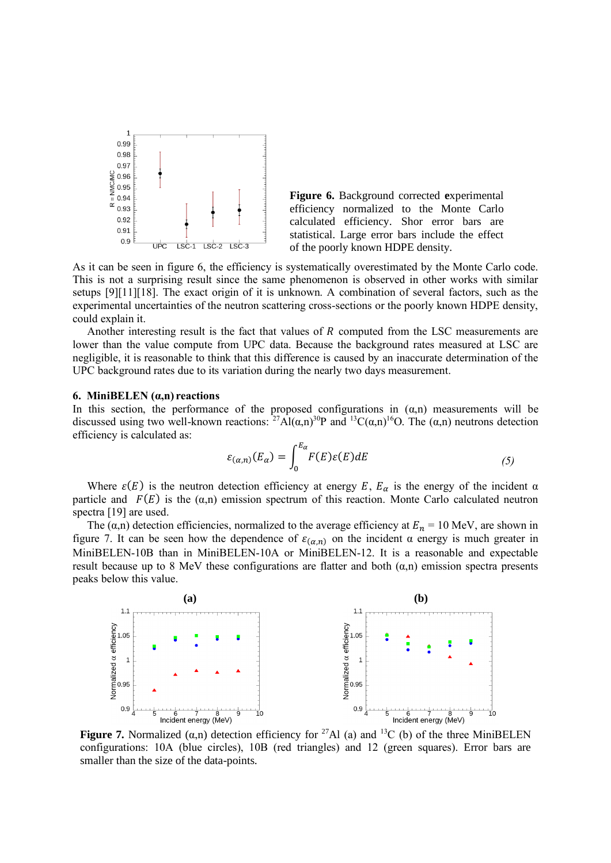

**Figure 6.** Background corrected **e**xperimental efficiency normalized to the Monte Carlo calculated efficiency. Shor error bars are statistical. Large error bars include the effect of the poorly known HDPE density.

As it can be seen in figure 6, the efficiency is systematically overestimated by the Monte Carlo code. This is not a surprising result since the same phenomenon is observed in other works with similar setups [9][11][18]. The exact origin of it is unknown. A combination of several factors, such as the experimental uncertainties of the neutron scattering cross-sections or the poorly known HDPE density, could explain it.

Another interesting result is the fact that values of  $R$  computed from the LSC measurements are lower than the value compute from UPC data. Because the background rates measured at LSC are negligible, it is reasonable to think that this difference is caused by an inaccurate determination of the UPC background rates due to its variation during the nearly two days measurement.

#### **6. MiniBELEN (α,n) reactions**

In this section, the performance of the proposed configurations in  $(\alpha, n)$  measurements will be discussed using two well-known reactions:  ${}^{27}\text{Al}(\alpha,n){}^{30}\text{P}$  and  ${}^{13}\text{C}(\alpha,n){}^{16}\text{O}$ . The  $(\alpha,n)$  neutrons detection efficiency is calculated as:

$$
\varepsilon_{(\alpha,n)}(E_{\alpha}) = \int_0^{E_{\alpha}} F(E)\varepsilon(E) dE \tag{5}
$$

Where  $\varepsilon(E)$  is the neutron detection efficiency at energy E,  $E_{\alpha}$  is the energy of the incident  $\alpha$ particle and  $F(E)$  is the ( $\alpha$ ,n) emission spectrum of this reaction. Monte Carlo calculated neutron spectra [19] are used.

The ( $\alpha$ ,n) detection efficiencies, normalized to the average efficiency at  $E_n = 10$  MeV, are shown in figure 7. It can be seen how the dependence of  $\varepsilon_{(\alpha,n)}$  on the incident  $\alpha$  energy is much greater in MiniBELEN-10B than in MiniBELEN-10A or MiniBELEN-12. It is a reasonable and expectable result because up to 8 MeV these configurations are flatter and both  $(\alpha, n)$  emission spectra presents peaks below this value.



**Figure 7.** Normalized  $(\alpha, n)$  detection efficiency for <sup>27</sup>Al (a) and <sup>13</sup>C (b) of the three MiniBELEN configurations: 10A (blue circles), 10B (red triangles) and 12 (green squares). Error bars are smaller than the size of the data-points.